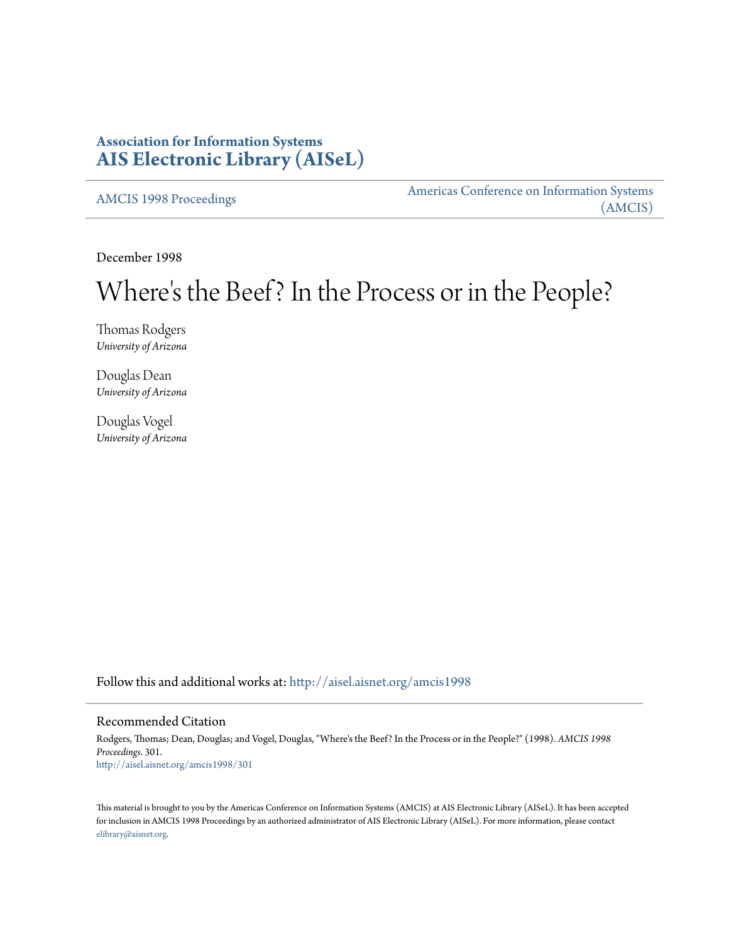# **Association for Information Systems [AIS Electronic Library \(AISeL\)](http://aisel.aisnet.org?utm_source=aisel.aisnet.org%2Famcis1998%2F301&utm_medium=PDF&utm_campaign=PDFCoverPages)**

[AMCIS 1998 Proceedings](http://aisel.aisnet.org/amcis1998?utm_source=aisel.aisnet.org%2Famcis1998%2F301&utm_medium=PDF&utm_campaign=PDFCoverPages)

[Americas Conference on Information Systems](http://aisel.aisnet.org/amcis?utm_source=aisel.aisnet.org%2Famcis1998%2F301&utm_medium=PDF&utm_campaign=PDFCoverPages) [\(AMCIS\)](http://aisel.aisnet.org/amcis?utm_source=aisel.aisnet.org%2Famcis1998%2F301&utm_medium=PDF&utm_campaign=PDFCoverPages)

December 1998

# Where 's the Beef? In the Process or in the People?

Thomas Rodgers *University of Arizona*

Douglas Dean *University of Arizona*

Douglas Vogel *University of Arizona*

Follow this and additional works at: [http://aisel.aisnet.org/amcis1998](http://aisel.aisnet.org/amcis1998?utm_source=aisel.aisnet.org%2Famcis1998%2F301&utm_medium=PDF&utm_campaign=PDFCoverPages)

# Recommended Citation

Rodgers, Thomas; Dean, Douglas; and Vogel, Douglas, "Where's the Beef? In the Process or in the People?" (1998). *AMCIS 1998 Proceedings*. 301. [http://aisel.aisnet.org/amcis1998/301](http://aisel.aisnet.org/amcis1998/301?utm_source=aisel.aisnet.org%2Famcis1998%2F301&utm_medium=PDF&utm_campaign=PDFCoverPages)

This material is brought to you by the Americas Conference on Information Systems (AMCIS) at AIS Electronic Library (AISeL). It has been accepted for inclusion in AMCIS 1998 Proceedings by an authorized administrator of AIS Electronic Library (AISeL). For more information, please contact [elibrary@aisnet.org.](mailto:elibrary@aisnet.org%3E)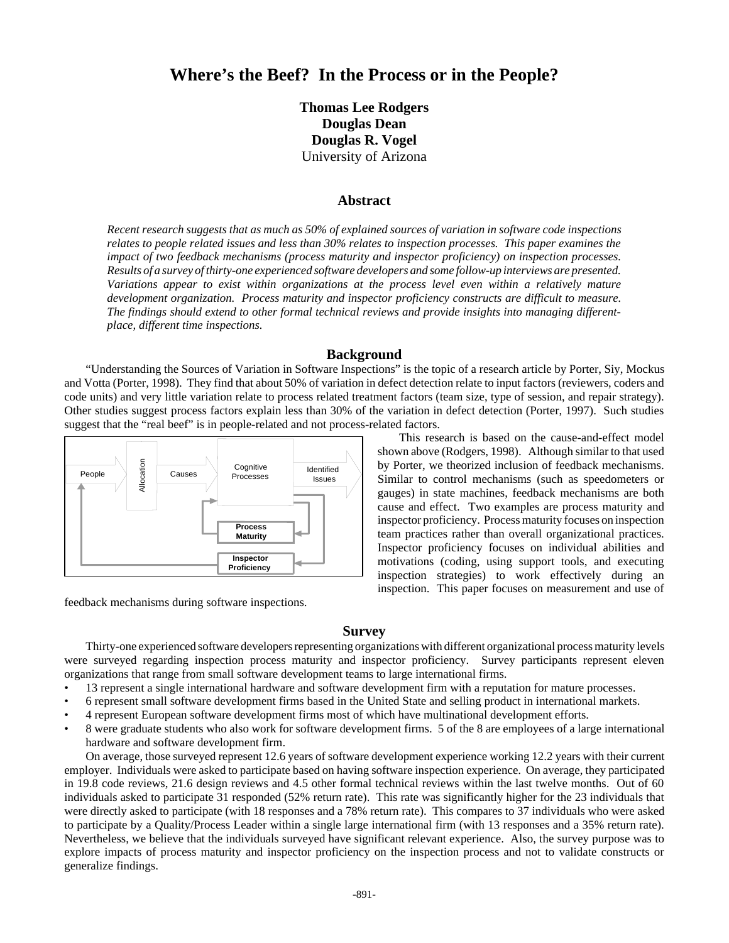# **Where's the Beef? In the Process or in the People?**

**Thomas Lee Rodgers Douglas Dean Douglas R. Vogel** University of Arizona

### **Abstract**

*Recent research suggests that as much as 50% of explained sources of variation in software code inspections relates to people related issues and less than 30% relates to inspection processes. This paper examines the impact of two feedback mechanisms (process maturity and inspector proficiency) on inspection processes. Results of a survey of thirty-one experienced software developers and some follow-up interviews are presented. Variations appear to exist within organizations at the process level even within a relatively mature development organization. Process maturity and inspector proficiency constructs are difficult to measure. The findings should extend to other formal technical reviews and provide insights into managing differentplace, different time inspections.*

#### **Background**

"Understanding the Sources of Variation in Software Inspections" is the topic of a research article by Porter, Siy, Mockus and Votta (Porter, 1998). They find that about 50% of variation in defect detection relate to input factors (reviewers, coders and code units) and very little variation relate to process related treatment factors (team size, type of session, and repair strategy). Other studies suggest process factors explain less than 30% of the variation in defect detection (Porter, 1997). Such studies suggest that the "real beef" is in people-related and not process-related factors.



feedback mechanisms during software inspections.

This research is based on the cause-and-effect model shown above (Rodgers, 1998). Although similar to that used by Porter, we theorized inclusion of feedback mechanisms. Similar to control mechanisms (such as speedometers or gauges) in state machines, feedback mechanisms are both cause and effect. Two examples are process maturity and inspector proficiency. Process maturity focuses on inspection team practices rather than overall organizational practices. Inspector proficiency focuses on individual abilities and motivations (coding, using support tools, and executing inspection strategies) to work effectively during an inspection. This paper focuses on measurement and use of

#### **Survey**

Thirty-one experienced software developers representing organizations with different organizational process maturity levels were surveyed regarding inspection process maturity and inspector proficiency. Survey participants represent eleven organizations that range from small software development teams to large international firms.

- 13 represent a single international hardware and software development firm with a reputation for mature processes.
- 6 represent small software development firms based in the United State and selling product in international markets.
- 4 represent European software development firms most of which have multinational development efforts.
- 8 were graduate students who also work for software development firms. 5 of the 8 are employees of a large international hardware and software development firm.

On average, those surveyed represent 12.6 years of software development experience working 12.2 years with their current employer. Individuals were asked to participate based on having software inspection experience. On average, they participated in 19.8 code reviews, 21.6 design reviews and 4.5 other formal technical reviews within the last twelve months. Out of 60 individuals asked to participate 31 responded (52% return rate). This rate was significantly higher for the 23 individuals that were directly asked to participate (with 18 responses and a 78% return rate). This compares to 37 individuals who were asked to participate by a Quality/Process Leader within a single large international firm (with 13 responses and a 35% return rate). Nevertheless, we believe that the individuals surveyed have significant relevant experience. Also, the survey purpose was to explore impacts of process maturity and inspector proficiency on the inspection process and not to validate constructs or generalize findings.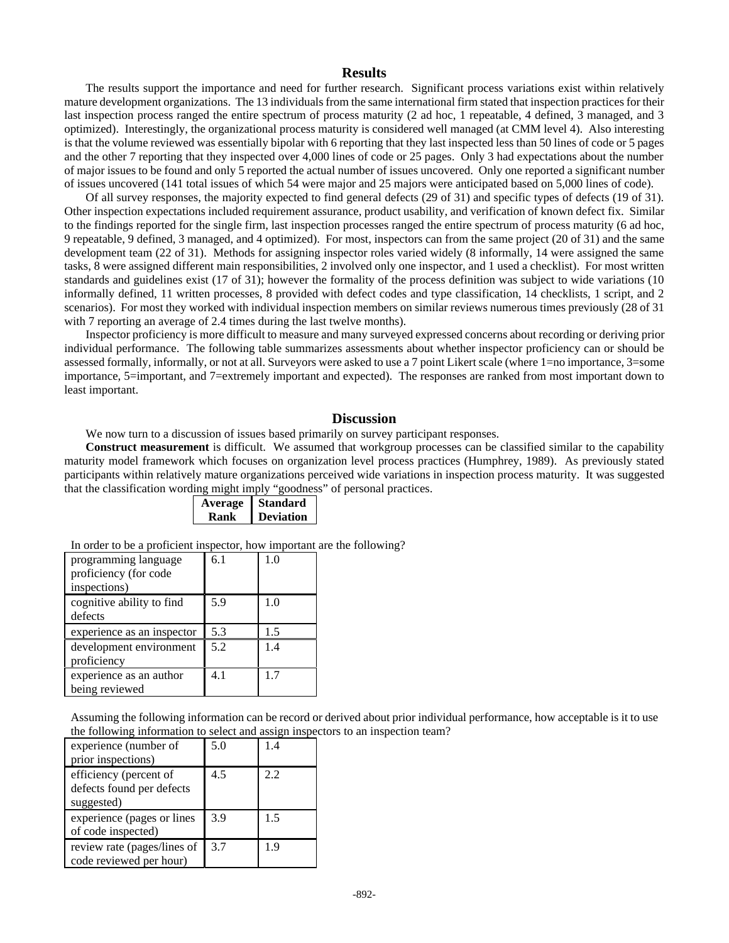# **Results**

The results support the importance and need for further research. Significant process variations exist within relatively mature development organizations. The 13 individuals from the same international firm stated that inspection practices for their last inspection process ranged the entire spectrum of process maturity (2 ad hoc, 1 repeatable, 4 defined, 3 managed, and 3 optimized). Interestingly, the organizational process maturity is considered well managed (at CMM level 4). Also interesting is that the volume reviewed was essentially bipolar with 6 reporting that they last inspected less than 50 lines of code or 5 pages and the other 7 reporting that they inspected over 4,000 lines of code or 25 pages. Only 3 had expectations about the number of major issues to be found and only 5 reported the actual number of issues uncovered. Only one reported a significant number of issues uncovered (141 total issues of which 54 were major and 25 majors were anticipated based on 5,000 lines of code).

Of all survey responses, the majority expected to find general defects (29 of 31) and specific types of defects (19 of 31). Other inspection expectations included requirement assurance, product usability, and verification of known defect fix. Similar to the findings reported for the single firm, last inspection processes ranged the entire spectrum of process maturity (6 ad hoc, 9 repeatable, 9 defined, 3 managed, and 4 optimized). For most, inspectors can from the same project (20 of 31) and the same development team (22 of 31). Methods for assigning inspector roles varied widely (8 informally, 14 were assigned the same tasks, 8 were assigned different main responsibilities, 2 involved only one inspector, and 1 used a checklist). For most written standards and guidelines exist (17 of 31); however the formality of the process definition was subject to wide variations (10 informally defined, 11 written processes, 8 provided with defect codes and type classification, 14 checklists, 1 script, and 2 scenarios). For most they worked with individual inspection members on similar reviews numerous times previously (28 of 31 with 7 reporting an average of 2.4 times during the last twelve months).

Inspector proficiency is more difficult to measure and many surveyed expressed concerns about recording or deriving prior individual performance. The following table summarizes assessments about whether inspector proficiency can or should be assessed formally, informally, or not at all. Surveyors were asked to use a 7 point Likert scale (where 1=no importance, 3=some importance, 5=important, and 7=extremely important and expected). The responses are ranked from most important down to least important.

## **Discussion**

We now turn to a discussion of issues based primarily on survey participant responses.

**Construct measurement** is difficult. We assumed that workgroup processes can be classified similar to the capability maturity model framework which focuses on organization level process practices (Humphrey, 1989). As previously stated participants within relatively mature organizations perceived wide variations in inspection process maturity. It was suggested that the classification wording might imply "goodness" of personal practices.

| Average | <b>Standard</b>  |
|---------|------------------|
| Kank    | <b>Deviation</b> |

In order to be a proficient inspector, how important are the following?

| programming language<br>proficiency (for code<br>inspections) | 6.1 | 1.0 |
|---------------------------------------------------------------|-----|-----|
| cognitive ability to find<br>defects                          | 5.9 | 1.0 |
| experience as an inspector                                    | 5.3 | 1.5 |
| development environment<br>proficiency                        | 5.2 | 1.4 |
| experience as an author<br>being reviewed                     | 4.1 | 17  |

Assuming the following information can be record or derived about prior individual performance, how acceptable is it to use the following information to select and assign inspectors to an inspection team?

| experience (number of<br>prior inspections)                       | 5.0 | 1.4 |
|-------------------------------------------------------------------|-----|-----|
| efficiency (percent of<br>defects found per defects<br>suggested) | 4.5 | 2.2 |
| experience (pages or lines<br>of code inspected)                  | 3.9 | 1.5 |
| review rate (pages/lines of<br>code reviewed per hour)            | 3.7 | 1.9 |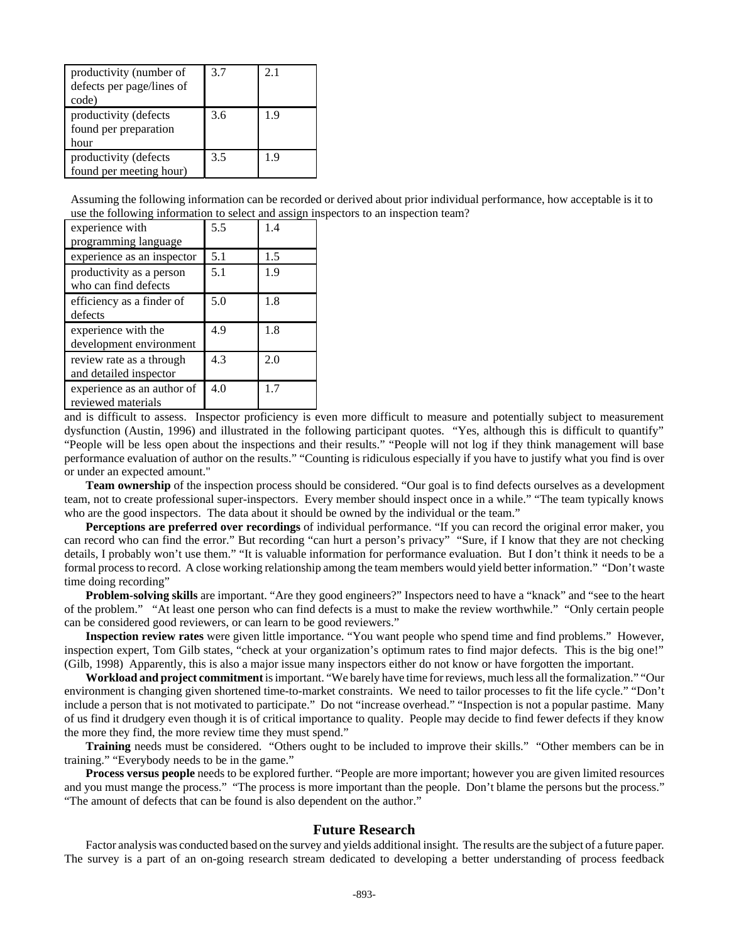| productivity (number of<br>defects per page/lines of<br>code) | 3.7 | 2.1 |
|---------------------------------------------------------------|-----|-----|
| productivity (defects<br>found per preparation<br>hour        | 3.6 | 1.9 |
| productivity (defects<br>found per meeting hour)              | 3.5 | 19  |

Assuming the following information can be recorded or derived about prior individual performance, how acceptable is it to use the following information to select and assign inspectors to an inspection team?

| experience with<br>programming language            | 5.5 | 14  |
|----------------------------------------------------|-----|-----|
| experience as an inspector                         | 5.1 | 1.5 |
| productivity as a person<br>who can find defects   | 5.1 | 1.9 |
| efficiency as a finder of<br>defects               | 5.0 | 1.8 |
| experience with the<br>development environment     | 4.9 | 1.8 |
| review rate as a through<br>and detailed inspector | 4.3 | 2.0 |
| experience as an author of<br>reviewed materials   | 4.0 | 1.7 |

and is difficult to assess. Inspector proficiency is even more difficult to measure and potentially subject to measurement dysfunction (Austin, 1996) and illustrated in the following participant quotes. "Yes, although this is difficult to quantify" "People will be less open about the inspections and their results." "People will not log if they think management will base performance evaluation of author on the results." "Counting is ridiculous especially if you have to justify what you find is over or under an expected amount."

**Team ownership** of the inspection process should be considered. "Our goal is to find defects ourselves as a development team, not to create professional super-inspectors. Every member should inspect once in a while." "The team typically knows who are the good inspectors. The data about it should be owned by the individual or the team."

**Perceptions are preferred over recordings** of individual performance. "If you can record the original error maker, you can record who can find the error." But recording "can hurt a person's privacy" "Sure, if I know that they are not checking details, I probably won't use them." "It is valuable information for performance evaluation. But I don't think it needs to be a formal process to record. A close working relationship among the team members would yield better information." "Don't waste time doing recording"

**Problem-solving skills** are important. "Are they good engineers?" Inspectors need to have a "knack" and "see to the heart of the problem." "At least one person who can find defects is a must to make the review worthwhile." "Only certain people can be considered good reviewers, or can learn to be good reviewers."

**Inspection review rates** were given little importance. "You want people who spend time and find problems." However, inspection expert, Tom Gilb states, "check at your organization's optimum rates to find major defects. This is the big one!" (Gilb, 1998) Apparently, this is also a major issue many inspectors either do not know or have forgotten the important.

**Workload and project commitment** is important. "We barely have time for reviews, much less all the formalization." "Our environment is changing given shortened time-to-market constraints. We need to tailor processes to fit the life cycle." "Don't include a person that is not motivated to participate." Do not "increase overhead." "Inspection is not a popular pastime. Many of us find it drudgery even though it is of critical importance to quality. People may decide to find fewer defects if they know the more they find, the more review time they must spend."

**Training** needs must be considered. "Others ought to be included to improve their skills." "Other members can be in training." "Everybody needs to be in the game."

**Process versus people** needs to be explored further. "People are more important; however you are given limited resources and you must mange the process." "The process is more important than the people. Don't blame the persons but the process." "The amount of defects that can be found is also dependent on the author."

## **Future Research**

Factor analysis was conducted based on the survey and yields additional insight. The results are the subject of a future paper. The survey is a part of an on-going research stream dedicated to developing a better understanding of process feedback